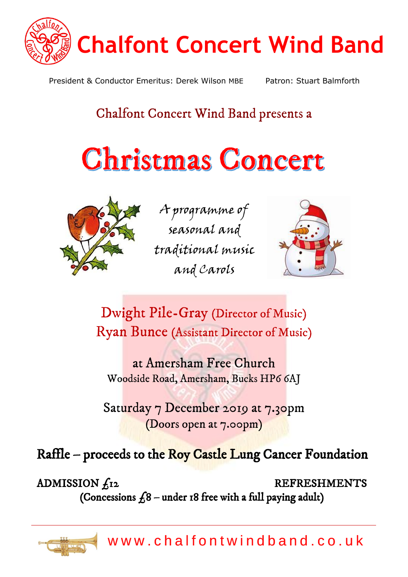

President & Conductor Emeritus: Derek Wilson MBE Patron: Stuart Balmforth

# Chalfont Concert Wind Band presents a

# Christmas Concert



A programme of seasonal and traditional music and Carols



Dwight Pile-Gray (Director of Music) Ryan Bunce (Assistant Director of Music)

at Amersham Free Church Woodside Road, Amersham, Bucks HP6 6AJ

Saturday 7 December 2019 at 7.30pm (Doors open at 7.00pm)

Raffle – proceeds to the Roy Castle Lung Cancer Foundation

ADMISSION  $f_{12}$  REFRESHMENTS (Concessions  $f_68$  – under 18 free with a full paying adult)

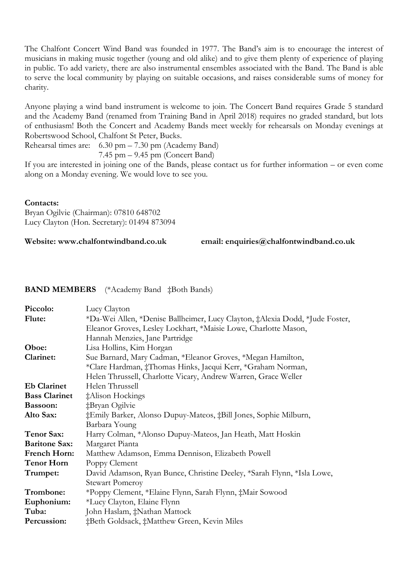The Chalfont Concert Wind Band was founded in 1977. The Band's aim is to encourage the interest of musicians in making music together (young and old alike) and to give them plenty of experience of playing in public. To add variety, there are also instrumental ensembles associated with the Band. The Band is able to serve the local community by playing on suitable occasions, and raises considerable sums of money for charity.

Anyone playing a wind band instrument is welcome to join. The Concert Band requires Grade 5 standard and the Academy Band (renamed from Training Band in April 2018) requires no graded standard, but lots of enthusiasm! Both the Concert and Academy Bands meet weekly for rehearsals on Monday evenings at Robertswood School, Chalfont St Peter, Bucks.

Rehearsal times are: 6.30 pm – 7.30 pm (Academy Band)

7.45 pm – 9.45 pm (Concert Band)

If you are interested in joining one of the Bands, please contact us for further information – or even come along on a Monday evening. We would love to see you.

# **Contacts:**

Bryan Ogilvie (Chairman): 07810 648702 Lucy Clayton (Hon. Secretary): 01494 873094

**Website: www.chalfontwindband.co.uk email: enquiries@chalfontwindband.co.uk**

# **BAND MEMBERS** (\*Academy Band ‡Both Bands)

| Piccolo:             | Lucy Clayton                                                                 |  |
|----------------------|------------------------------------------------------------------------------|--|
| Flute:               | *Da-Wei Allen, *Denise Ballheimer, Lucy Clayton, ‡Alexia Dodd, *Jude Foster, |  |
|                      | Eleanor Groves, Lesley Lockhart, *Maisie Lowe, Charlotte Mason,              |  |
|                      | Hannah Menzies, Jane Partridge                                               |  |
| Oboe:                | Lisa Hollins, Kim Horgan                                                     |  |
| Clarinet:            | Sue Barnard, Mary Cadman, *Eleanor Groves, *Megan Hamilton,                  |  |
|                      | *Clare Hardman, ‡Thomas Hinks, Jacqui Kerr, *Graham Norman,                  |  |
|                      | Helen Thrussell, Charlotte Vicary, Andrew Warren, Grace Weller               |  |
| <b>Eb Clarinet</b>   | Helen Thrussell                                                              |  |
| <b>Bass Clarinet</b> | ‡Alison Hockings                                                             |  |
| Bassoon:             | ‡Bryan Ogilvie                                                               |  |
| Alto Sax:            | ‡Emily Barker, Alonso Dupuy-Mateos, ‡Bill Jones, Sophie Milburn,             |  |
|                      | Barbara Young                                                                |  |
| <b>Tenor Sax:</b>    | Harry Colman, *Alonso Dupuy-Mateos, Jan Heath, Matt Hoskin                   |  |
| <b>Baritone Sax:</b> | Margaret Pianta                                                              |  |
| <b>French Horn:</b>  | Matthew Adamson, Emma Dennison, Elizabeth Powell                             |  |
| <b>Tenor Horn</b>    | Poppy Clement                                                                |  |
| Trumpet:             | David Adamson, Ryan Bunce, Christine Deeley, *Sarah Flynn, *Isla Lowe,       |  |
|                      | <b>Stewart Pomeroy</b>                                                       |  |
| Trombone:            | *Poppy Clement, *Elaine Flynn, Sarah Flynn, ‡Mair Sowood                     |  |
| Euphonium:           | *Lucy Clayton, Elaine Flynn                                                  |  |
| Tuba:                | John Haslam, ‡Nathan Mattock                                                 |  |
| Percussion:          | ‡Beth Goldsack, ‡Matthew Green, Kevin Miles                                  |  |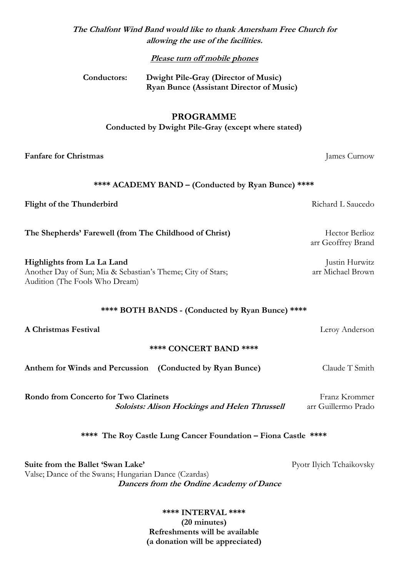| The Chalfont Wind Band would like to thank Amersham Free Church for |
|---------------------------------------------------------------------|
| allowing the use of the facilities.                                 |

**Please turn off mobile phones**

| Conductors: | Dwight Pile-Gray (Director of Music)            |
|-------------|-------------------------------------------------|
|             | <b>Ryan Bunce (Assistant Director of Music)</b> |

#### **PROGRAMME**

**Conducted by Dwight Pile-Gray (except where stated)**

**Fanfare for Christmas** James Curnow

#### **\*\*\*\* ACADEMY BAND – (Conducted by Ryan Bunce) \*\*\*\***

**Flight of the Thunderbird** Richard L Saucedo

**The Shepherds' Farewell (from The Childhood of Christ)** Hector Berlioz

**Highlights from La La Land** Justin Hurwitz Another Day of Sun; Mia & Sebastian's Theme; City of Stars; arr Michael Brown Audition (The Fools Who Dream)

### **\*\*\*\* BOTH BANDS - (Conducted by Ryan Bunce) \*\*\*\***

**A Christmas Festival** Leroy Anderson

#### **\*\*\*\* CONCERT BAND \*\*\*\***

**Anthem for Winds and Percussion (Conducted by Ryan Bunce)** Claude T Smith

**Rondo from Concerto for Two Clarinets** Franz Krommer **Soloists: Alison Hockings and Helen Thrussell** arr Guillermo Prado

**\*\*\*\* The Roy Castle Lung Cancer Foundation – Fiona Castle \*\*\*\***

**Suite from the Ballet 'Swan Lake'** Pyotr Ilyich Tchaikovsky Valse; Dance of the Swans; Hungarian Dance (Czardas) **Dancers from the Ondine Academy of Dance**

> **\*\*\*\* INTERVAL \*\*\*\* (20 minutes) Refreshments will be available (a donation will be appreciated)**

arr Geoffrey Brand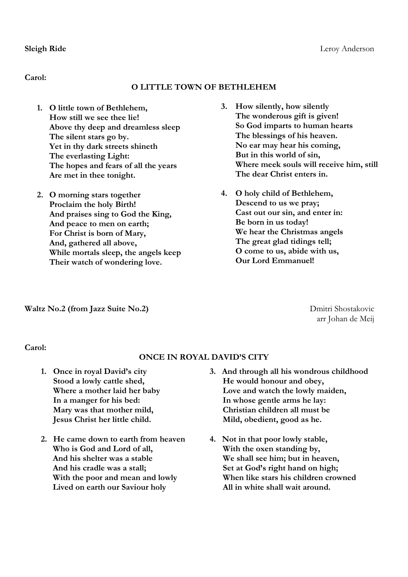**Carol:**

# **O LITTLE TOWN OF BETHLEHEM**

- **1. O little town of Bethlehem, How still we see thee lie! Above thy deep and dreamless sleep The silent stars go by. Yet in thy dark streets shineth The everlasting Light: The hopes and fears of all the years Are met in thee tonight.**
- **2. O morning stars together Proclaim the holy Birth! And praises sing to God the King, And peace to men on earth; For Christ is born of Mary, And, gathered all above, While mortals sleep, the angels keep Their watch of wondering love.**
- **3. How silently, how silently The wonderous gift is given! So God imparts to human hearts The blessings of his heaven. No ear may hear his coming, But in this world of sin, Where meek souls will receive him, still The dear Christ enters in.**
- **4. O holy child of Bethlehem, Descend to us we pray; Cast out our sin, and enter in: Be born in us today! We hear the Christmas angels The great glad tidings tell; O come to us, abide with us, Our Lord Emmanuel!**

**Waltz No.2 (from Jazz Suite No.2)** Dmitri Shostakovic

arr Johan de Meij

**Carol:**

# **ONCE IN ROYAL DAVID'S CITY**

- **1. Once in royal David's city Stood a lowly cattle shed, Where a mother laid her baby In a manger for his bed: Mary was that mother mild, Jesus Christ her little child.**
- **2. He came down to earth from heaven Who is God and Lord of all, And his shelter was a stable And his cradle was a stall; With the poor and mean and lowly Lived on earth our Saviour holy**
- **3. And through all his wondrous childhood He would honour and obey, Love and watch the lowly maiden, In whose gentle arms he lay: Christian children all must be Mild, obedient, good as he.**
- **4. Not in that poor lowly stable, With the oxen standing by, We shall see him; but in heaven, Set at God's right hand on high; When like stars his children crowned All in white shall wait around.**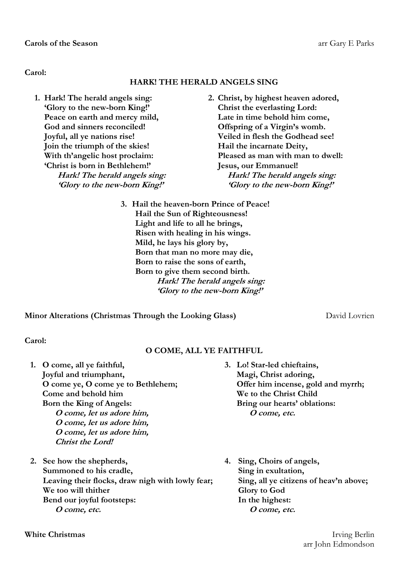**Carol:**

# **HARK! THE HERALD ANGELS SING**

- **1. Hark! The herald angels sing: 'Glory to the new-born King!' Peace on earth and mercy mild, God and sinners reconciled! Joyful, all ye nations rise! Join the triumph of the skies! With th'angelic host proclaim: 'Christ is born in Bethlehem!' Hark! The herald angels sing: 'Glory to the new-born King!'**
- **2. Christ, by highest heaven adored, Christ the everlasting Lord: Late in time behold him come, Offspring of a Virgin's womb. Veiled in flesh the Godhead see! Hail the incarnate Deity, Pleased as man with man to dwell: Jesus, our Emmanuel! Hark! The herald angels sing: 'Glory to the new-born King!'**
- **3. Hail the heaven-born Prince of Peace! Hail the Sun of Righteousness! Light and life to all he brings, Risen with healing in his wings. Mild, he lays his glory by, Born that man no more may die, Born to raise the sons of earth, Born to give them second birth. Hark! The herald angels sing: 'Glory to the new-born King!'**

**Minor Alterations (Christmas Through the Looking Glass)** David Lovrien

**Carol:** 

# **O COME, ALL YE FAITHFUL**

- **1. O come, all ye faithful, Joyful and triumphant, O come ye, O come ye to Bethlehem; Come and behold him Born the King of Angels: O come, let us adore him, O come, let us adore him, O come, let us adore him, Christ the Lord!**
- **2. See how the shepherds, Summoned to his cradle, Leaving their flocks, draw nigh with lowly fear; We too will thither Bend our joyful footsteps: O come, etc.**
- **3. Lo! Star-led chieftains, Magi, Christ adoring, Offer him incense, gold and myrrh; We to the Christ Child Bring our hearts' oblations: O come, etc.**
- **4. Sing, Choirs of angels, Sing in exultation, Sing, all ye citizens of heav'n above; Glory to God In the highest: O come, etc.**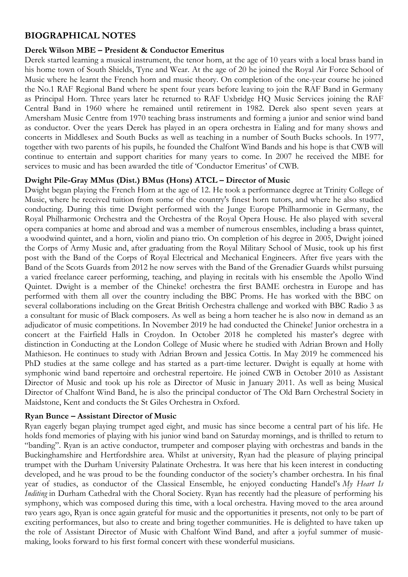# **BIOGRAPHICAL NOTES**

# **Derek Wilson MBE – President & Conductor Emeritus**

Derek started learning a musical instrument, the tenor horn, at the age of 10 years with a local brass band in his home town of South Shields, Tyne and Wear. At the age of 20 he joined the Royal Air Force School of Music where he learnt the French horn and music theory. On completion of the one-year course he joined the No.1 RAF Regional Band where he spent four years before leaving to join the RAF Band in Germany as Principal Horn. Three years later he returned to RAF Uxbridge HQ Music Services joining the RAF Central Band in 1960 where he remained until retirement in 1982. Derek also spent seven years at Amersham Music Centre from 1970 teaching brass instruments and forming a junior and senior wind band as conductor. Over the years Derek has played in an opera orchestra in Ealing and for many shows and concerts in Middlesex and South Bucks as well as teaching in a number of South Bucks schools. In 1977, together with two parents of his pupils, he founded the Chalfont Wind Bands and his hope is that CWB will continue to entertain and support charities for many years to come. In 2007 he received the MBE for services to music and has been awarded the title of 'Conductor Emeritus' of CWB.

# **Dwight Pile-Gray MMus (Dist.) BMus (Hons) ATCL – Director of Music**

Dwight began playing the French Horn at the age of 12. He took a performance degree at Trinity College of Music, where he received tuition from some of the country's finest horn tutors, and where he also studied conducting. During this time Dwight performed with the Junge Europe Philharmonie in Germany, the Royal Philharmonic Orchestra and the Orchestra of the Royal Opera House. He also played with several opera companies at home and abroad and was a member of numerous ensembles, including a brass quintet, a woodwind quintet, and a horn, violin and piano trio. On completion of his degree in 2005, Dwight joined the Corps of Army Music and, after graduating from the Royal Military School of Music, took up his first post with the Band of the Corps of Royal Electrical and Mechanical Engineers. After five years with the Band of the Scots Guards from 2012 he now serves with the Band of the Grenadier Guards whilst pursuing a varied freelance career performing, teaching, and playing in recitals with his ensemble the Apollo Wind Quintet. Dwight is a member of the Chineke! orchestra the first BAME orchestra in Europe and has performed with them all over the country including the BBC Proms. He has worked with the BBC on several collaborations including on the Great British Orchestra challenge and worked with BBC Radio 3 as a consultant for music of Black composers. As well as being a horn teacher he is also now in demand as an adjudicator of music competitions. In November 2019 he had conducted the Chineke! Junior orchestra in a concert at the Fairfield Halls in Croydon. In October 2018 he completed his master's degree with distinction in Conducting at the London College of Music where he studied with Adrian Brown and Holly Mathieson. He continues to study with Adrian Brown and Jessica Cottis. In May 2019 he commenced his PhD studies at the same college and has started as a part-time lecturer. Dwight is equally at home with symphonic wind band repertoire and orchestral repertoire. He joined CWB in October 2010 as Assistant Director of Music and took up his role as Director of Music in January 2011. As well as being Musical Director of Chalfont Wind Band, he is also the principal conductor of The Old Barn Orchestral Society in Maidstone, Kent and conducts the St Giles Orchestra in Oxford.

#### **Ryan Bunce – Assistant Director of Music**

Ryan eagerly began playing trumpet aged eight, and music has since become a central part of his life. He holds fond memories of playing with his junior wind band on Saturday mornings, and is thrilled to return to "banding". Ryan is an active conductor, trumpeter and composer playing with orchestras and bands in the Buckinghamshire and Hertfordshire area. Whilst at university, Ryan had the pleasure of playing principal trumpet with the Durham University Palatinate Orchestra. It was here that his keen interest in conducting developed, and he was proud to be the founding conductor of the society's chamber orchestra. In his final year of studies, as conductor of the Classical Ensemble, he enjoyed conducting Handel's *My Heart Is Inditing* in Durham Cathedral with the Choral Society. Ryan has recently had the pleasure of performing his symphony, which was composed during this time, with a local orchestra. Having moved to the area around two years ago, Ryan is once again grateful for music and the opportunities it presents, not only to be part of exciting performances, but also to create and bring together communities. He is delighted to have taken up the role of Assistant Director of Music with Chalfont Wind Band, and after a joyful summer of musicmaking, looks forward to his first formal concert with these wonderful musicians.